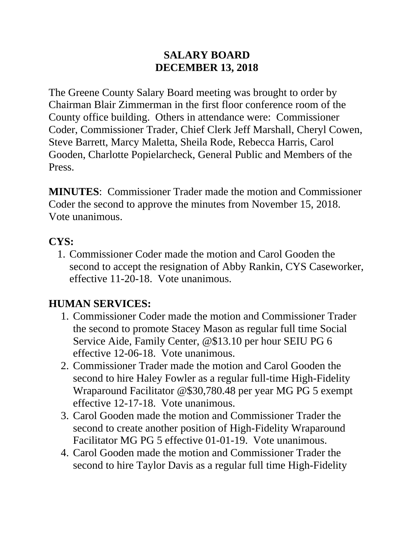#### **SALARY BOARD DECEMBER 13, 2018**

The Greene County Salary Board meeting was brought to order by Chairman Blair Zimmerman in the first floor conference room of the County office building. Others in attendance were: Commissioner Coder, Commissioner Trader, Chief Clerk Jeff Marshall, Cheryl Cowen, Steve Barrett, Marcy Maletta, Sheila Rode, Rebecca Harris, Carol Gooden, Charlotte Popielarcheck, General Public and Members of the Press.

**MINUTES**: Commissioner Trader made the motion and Commissioner Coder the second to approve the minutes from November 15, 2018. Vote unanimous.

## **CYS:**

1. Commissioner Coder made the motion and Carol Gooden the second to accept the resignation of Abby Rankin, CYS Caseworker, effective 11-20-18. Vote unanimous.

## **HUMAN SERVICES:**

- 1. Commissioner Coder made the motion and Commissioner Trader the second to promote Stacey Mason as regular full time Social Service Aide, Family Center, @\$13.10 per hour SEIU PG 6 effective 12-06-18. Vote unanimous.
- 2. Commissioner Trader made the motion and Carol Gooden the second to hire Haley Fowler as a regular full-time High-Fidelity Wraparound Facilitator @\$30,780.48 per year MG PG 5 exempt effective 12-17-18. Vote unanimous.
- 3. Carol Gooden made the motion and Commissioner Trader the second to create another position of High-Fidelity Wraparound Facilitator MG PG 5 effective 01-01-19. Vote unanimous.
- 4. Carol Gooden made the motion and Commissioner Trader the second to hire Taylor Davis as a regular full time High-Fidelity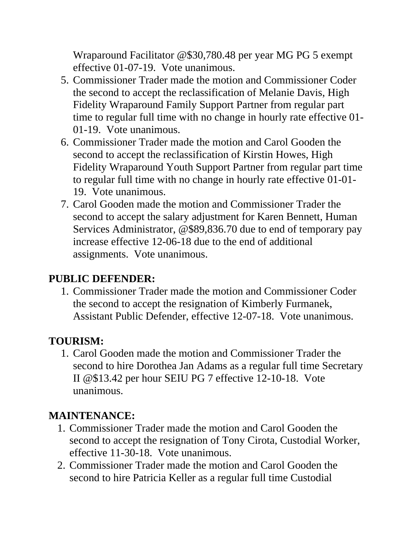Wraparound Facilitator @\$30,780.48 per year MG PG 5 exempt effective 01-07-19. Vote unanimous.

- 5. Commissioner Trader made the motion and Commissioner Coder the second to accept the reclassification of Melanie Davis, High Fidelity Wraparound Family Support Partner from regular part time to regular full time with no change in hourly rate effective 01- 01-19. Vote unanimous.
- 6. Commissioner Trader made the motion and Carol Gooden the second to accept the reclassification of Kirstin Howes, High Fidelity Wraparound Youth Support Partner from regular part time to regular full time with no change in hourly rate effective 01-01- 19. Vote unanimous.
- 7. Carol Gooden made the motion and Commissioner Trader the second to accept the salary adjustment for Karen Bennett, Human Services Administrator, @\$89,836.70 due to end of temporary pay increase effective 12-06-18 due to the end of additional assignments. Vote unanimous.

#### **PUBLIC DEFENDER:**

1. Commissioner Trader made the motion and Commissioner Coder the second to accept the resignation of Kimberly Furmanek, Assistant Public Defender, effective 12-07-18. Vote unanimous.

# **TOURISM:**

1. Carol Gooden made the motion and Commissioner Trader the second to hire Dorothea Jan Adams as a regular full time Secretary II @\$13.42 per hour SEIU PG 7 effective 12-10-18. Vote unanimous.

## **MAINTENANCE:**

- 1. Commissioner Trader made the motion and Carol Gooden the second to accept the resignation of Tony Cirota, Custodial Worker, effective 11-30-18. Vote unanimous.
- 2. Commissioner Trader made the motion and Carol Gooden the second to hire Patricia Keller as a regular full time Custodial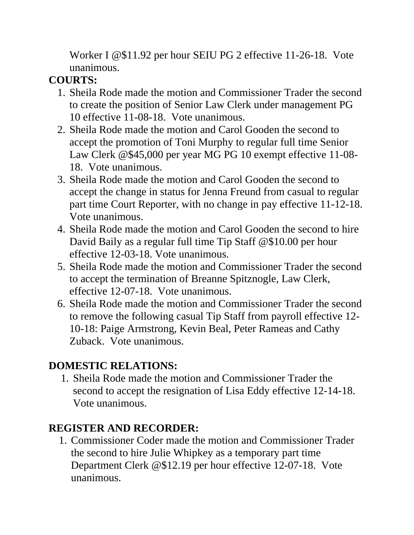Worker I @\$11.92 per hour SEIU PG 2 effective 11-26-18. Vote unanimous.

## **COURTS:**

- 1. Sheila Rode made the motion and Commissioner Trader the second to create the position of Senior Law Clerk under management PG 10 effective 11-08-18. Vote unanimous.
- 2. Sheila Rode made the motion and Carol Gooden the second to accept the promotion of Toni Murphy to regular full time Senior Law Clerk @\$45,000 per year MG PG 10 exempt effective 11-08- 18. Vote unanimous.
- 3. Sheila Rode made the motion and Carol Gooden the second to accept the change in status for Jenna Freund from casual to regular part time Court Reporter, with no change in pay effective 11-12-18. Vote unanimous.
- 4. Sheila Rode made the motion and Carol Gooden the second to hire David Baily as a regular full time Tip Staff @\$10.00 per hour effective 12-03-18. Vote unanimous.
- 5. Sheila Rode made the motion and Commissioner Trader the second to accept the termination of Breanne Spitznogle, Law Clerk, effective 12-07-18. Vote unanimous.
- 6. Sheila Rode made the motion and Commissioner Trader the second to remove the following casual Tip Staff from payroll effective 12- 10-18: Paige Armstrong, Kevin Beal, Peter Rameas and Cathy Zuback. Vote unanimous.

## **DOMESTIC RELATIONS:**

1. Sheila Rode made the motion and Commissioner Trader the second to accept the resignation of Lisa Eddy effective 12-14-18. Vote unanimous.

## **REGISTER AND RECORDER:**

1. Commissioner Coder made the motion and Commissioner Trader the second to hire Julie Whipkey as a temporary part time Department Clerk @\$12.19 per hour effective 12-07-18. Vote unanimous.